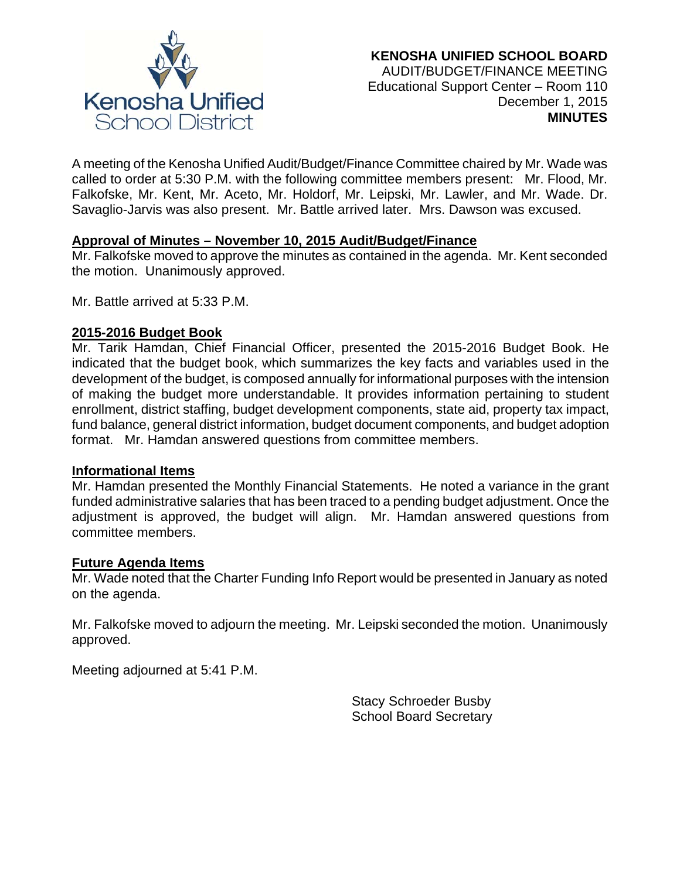

A meeting of the Kenosha Unified Audit/Budget/Finance Committee chaired by Mr. Wade was called to order at 5:30 P.M. with the following committee members present: Mr. Flood, Mr. Falkofske, Mr. Kent, Mr. Aceto, Mr. Holdorf, Mr. Leipski, Mr. Lawler, and Mr. Wade. Dr. Savaglio-Jarvis was also present. Mr. Battle arrived later. Mrs. Dawson was excused.

### **Approval of Minutes – November 10, 2015 Audit/Budget/Finance**

Mr. Falkofske moved to approve the minutes as contained in the agenda. Mr. Kent seconded the motion. Unanimously approved.

Mr. Battle arrived at 5:33 P.M.

## **2015-2016 Budget Book**

Mr. Tarik Hamdan, Chief Financial Officer, presented the 2015-2016 Budget Book. He indicated that the budget book, which summarizes the key facts and variables used in the development of the budget, is composed annually for informational purposes with the intension of making the budget more understandable. It provides information pertaining to student enrollment, district staffing, budget development components, state aid, property tax impact, fund balance, general district information, budget document components, and budget adoption format. Mr. Hamdan answered questions from committee members.

### **Informational Items**

Mr. Hamdan presented the Monthly Financial Statements. He noted a variance in the grant funded administrative salaries that has been traced to a pending budget adjustment. Once the adjustment is approved, the budget will align. Mr. Hamdan answered questions from committee members.

### **Future Agenda Items**

Mr. Wade noted that the Charter Funding Info Report would be presented in January as noted on the agenda.

Mr. Falkofske moved to adjourn the meeting. Mr. Leipski seconded the motion. Unanimously approved.

Meeting adjourned at 5:41 P.M.

Stacy Schroeder Busby School Board Secretary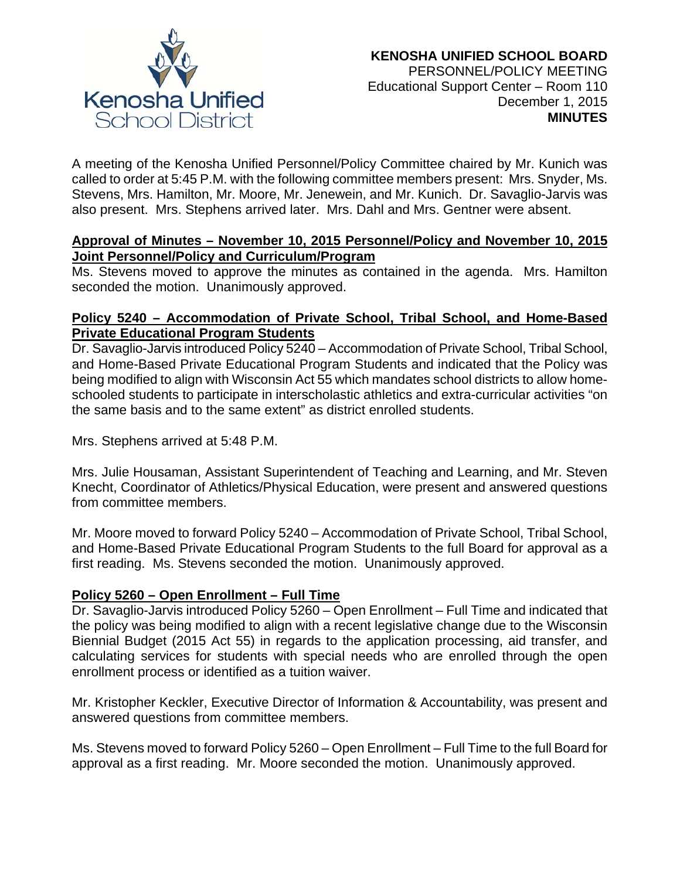

A meeting of the Kenosha Unified Personnel/Policy Committee chaired by Mr. Kunich was called to order at 5:45 P.M. with the following committee members present: Mrs. Snyder, Ms. Stevens, Mrs. Hamilton, Mr. Moore, Mr. Jenewein, and Mr. Kunich. Dr. Savaglio-Jarvis was also present. Mrs. Stephens arrived later. Mrs. Dahl and Mrs. Gentner were absent.

### **Approval of Minutes – November 10, 2015 Personnel/Policy and November 10, 2015 Joint Personnel/Policy and Curriculum/Program**

Ms. Stevens moved to approve the minutes as contained in the agenda. Mrs. Hamilton seconded the motion. Unanimously approved.

# **Policy 5240 – Accommodation of Private School, Tribal School, and Home-Based Private Educational Program Students**

Dr. Savaglio-Jarvis introduced Policy 5240 – Accommodation of Private School, Tribal School, and Home-Based Private Educational Program Students and indicated that the Policy was being modified to align with Wisconsin Act 55 which mandates school districts to allow homeschooled students to participate in interscholastic athletics and extra-curricular activities "on the same basis and to the same extent" as district enrolled students.

Mrs. Stephens arrived at 5:48 P.M.

Mrs. Julie Housaman, Assistant Superintendent of Teaching and Learning, and Mr. Steven Knecht, Coordinator of Athletics/Physical Education, were present and answered questions from committee members.

Mr. Moore moved to forward Policy 5240 – Accommodation of Private School, Tribal School, and Home-Based Private Educational Program Students to the full Board for approval as a first reading. Ms. Stevens seconded the motion. Unanimously approved.

# **Policy 5260 – Open Enrollment – Full Time**

Dr. Savaglio-Jarvis introduced Policy 5260 – Open Enrollment – Full Time and indicated that the policy was being modified to align with a recent legislative change due to the Wisconsin Biennial Budget (2015 Act 55) in regards to the application processing, aid transfer, and calculating services for students with special needs who are enrolled through the open enrollment process or identified as a tuition waiver.

Mr. Kristopher Keckler, Executive Director of Information & Accountability, was present and answered questions from committee members.

Ms. Stevens moved to forward Policy 5260 – Open Enrollment – Full Time to the full Board for approval as a first reading. Mr. Moore seconded the motion. Unanimously approved.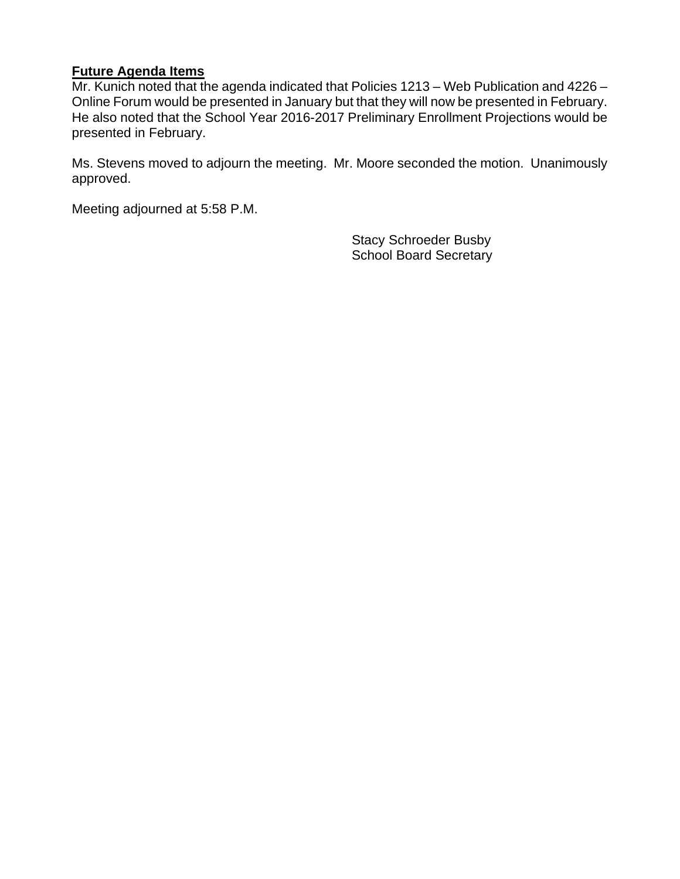## **Future Agenda Items**

Mr. Kunich noted that the agenda indicated that Policies 1213 – Web Publication and 4226 – Online Forum would be presented in January but that they will now be presented in February. He also noted that the School Year 2016-2017 Preliminary Enrollment Projections would be presented in February.

Ms. Stevens moved to adjourn the meeting. Mr. Moore seconded the motion. Unanimously approved.

Meeting adjourned at 5:58 P.M.

Stacy Schroeder Busby School Board Secretary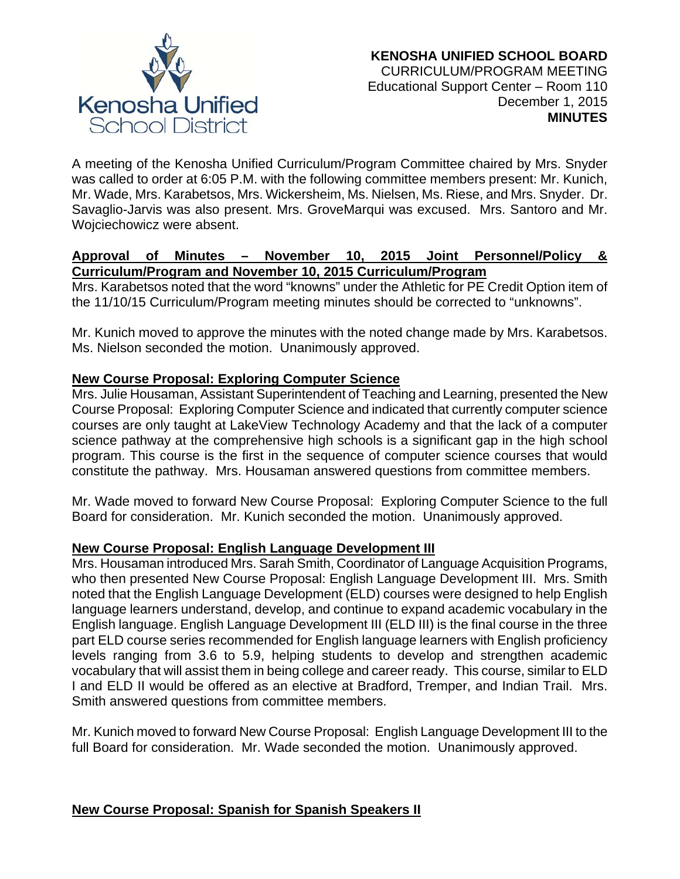

A meeting of the Kenosha Unified Curriculum/Program Committee chaired by Mrs. Snyder was called to order at 6:05 P.M. with the following committee members present: Mr. Kunich, Mr. Wade, Mrs. Karabetsos, Mrs. Wickersheim, Ms. Nielsen, Ms. Riese, and Mrs. Snyder. Dr. Savaglio-Jarvis was also present. Mrs. GroveMarqui was excused. Mrs. Santoro and Mr. Wojciechowicz were absent.

## **Approval of Minutes – November 10, 2015 Joint Personnel/Policy & Curriculum/Program and November 10, 2015 Curriculum/Program**

Mrs. Karabetsos noted that the word "knowns" under the Athletic for PE Credit Option item of the 11/10/15 Curriculum/Program meeting minutes should be corrected to "unknowns".

Mr. Kunich moved to approve the minutes with the noted change made by Mrs. Karabetsos. Ms. Nielson seconded the motion. Unanimously approved.

# **New Course Proposal: Exploring Computer Science**

Mrs. Julie Housaman, Assistant Superintendent of Teaching and Learning, presented the New Course Proposal: Exploring Computer Science and indicated that currently computer science courses are only taught at LakeView Technology Academy and that the lack of a computer science pathway at the comprehensive high schools is a significant gap in the high school program. This course is the first in the sequence of computer science courses that would constitute the pathway. Mrs. Housaman answered questions from committee members.

Mr. Wade moved to forward New Course Proposal: Exploring Computer Science to the full Board for consideration. Mr. Kunich seconded the motion. Unanimously approved.

# **New Course Proposal: English Language Development III**

Mrs. Housaman introduced Mrs. Sarah Smith, Coordinator of Language Acquisition Programs, who then presented New Course Proposal: English Language Development III. Mrs. Smith noted that the English Language Development (ELD) courses were designed to help English language learners understand, develop, and continue to expand academic vocabulary in the English language. English Language Development III (ELD III) is the final course in the three part ELD course series recommended for English language learners with English proficiency levels ranging from 3.6 to 5.9, helping students to develop and strengthen academic vocabulary that will assist them in being college and career ready. This course, similar to ELD I and ELD II would be offered as an elective at Bradford, Tremper, and Indian Trail. Mrs. Smith answered questions from committee members.

Mr. Kunich moved to forward New Course Proposal: English Language Development III to the full Board for consideration. Mr. Wade seconded the motion. Unanimously approved.

# **New Course Proposal: Spanish for Spanish Speakers II**